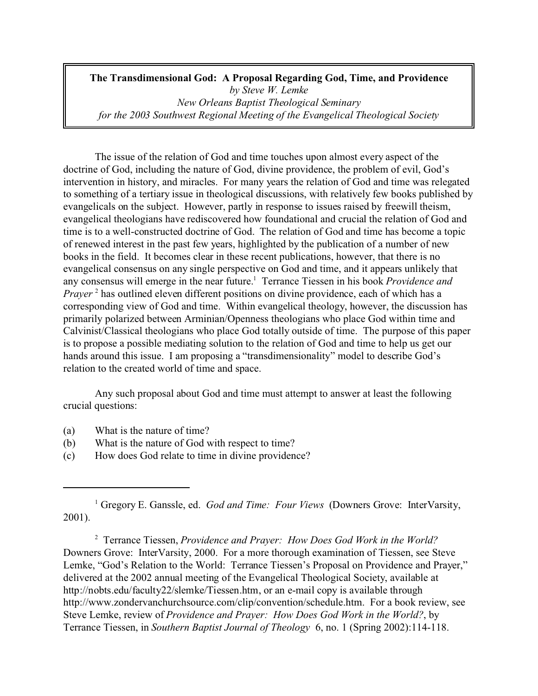**The Transdimensional God: A Proposal Regarding God, Time, and Providence** *by Steve W. Lemke New Orleans Baptist Theological Seminary for the 2003 Southwest Regional Meeting of the Evangelical Theological Society*

The issue of the relation of God and time touches upon almost every aspect of the doctrine of God, including the nature of God, divine providence, the problem of evil, God's intervention in history, and miracles. For many years the relation of God and time was relegated to something of a tertiary issue in theological discussions, with relatively few books published by evangelicals on the subject. However, partly in response to issues raised by freewill theism, evangelical theologians have rediscovered how foundational and crucial the relation of God and time is to a well-constructed doctrine of God. The relation of God and time has become a topic of renewed interest in the past few years, highlighted by the publication of a number of new books in the field. It becomes clear in these recent publications, however, that there is no evangelical consensus on any single perspective on God and time, and it appears unlikely that any consensus will emerge in the near future.<sup>1</sup> Terrance Tiessen in his book *Providence and* Prayer<sup>2</sup> has outlined eleven different positions on divine providence, each of which has a corresponding view of God and time. Within evangelical theology, however, the discussion has primarily polarized between Arminian/Openness theologians who place God within time and Calvinist/Classical theologians who place God totally outside of time. The purpose of this paper is to propose a possible mediating solution to the relation of God and time to help us get our hands around this issue. I am proposing a "transdimensionality" model to describe God's relation to the created world of time and space.

Any such proposal about God and time must attempt to answer at least the following crucial questions:

- (a) What is the nature of time?
- (b) What is the nature of God with respect to time?
- (c) How does God relate to time in divine providence?

2 Terrance Tiessen, *Providence and Prayer: How Does God Work in the World?* Downers Grove: InterVarsity, 2000. For a more thorough examination of Tiessen, see Steve Lemke, "God's Relation to the World: Terrance Tiessen's Proposal on Providence and Prayer," delivered at the 2002 annual meeting of the Evangelical Theological Society, available at http://nobts.edu/faculty22/slemke/Tiessen.htm, or an e-mail copy is available through http://www.zondervanchurchsource.com/clip/convention/schedule.htm. For a book review, see Steve Lemke, review of *Providence and Prayer: How Does God Work in the World?*, by Terrance Tiessen, in *Southern Baptist Journal of Theology* 6, no. 1 (Spring 2002):114-118.

<sup>&</sup>lt;sup>1</sup> Gregory E. Ganssle, ed. *God and Time: Four Views* (Downers Grove: InterVarsity, 2001).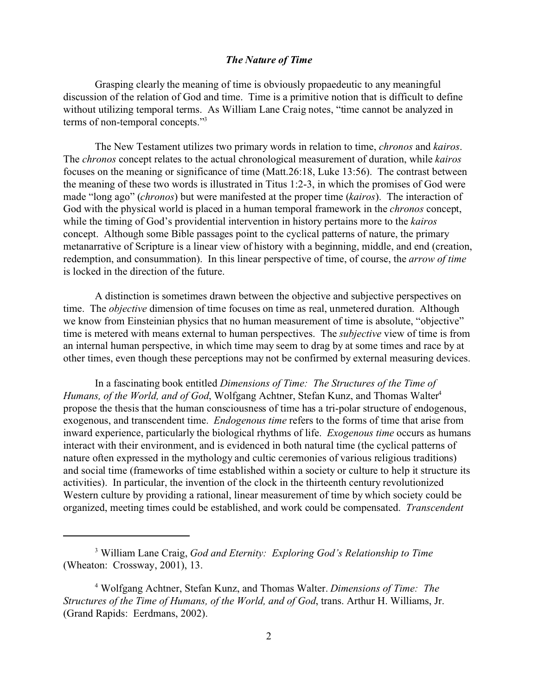# *The Nature of Time*

Grasping clearly the meaning of time is obviously propaedeutic to any meaningful discussion of the relation of God and time. Time is a primitive notion that is difficult to define without utilizing temporal terms. As William Lane Craig notes, "time cannot be analyzed in terms of non-temporal concepts."<sup>3</sup>

The New Testament utilizes two primary words in relation to time, *chronos* and *kairos*. The *chronos* concept relates to the actual chronological measurement of duration, while *kairos* focuses on the meaning or significance of time (Matt.26:18, Luke 13:56). The contrast between the meaning of these two words is illustrated in Titus 1:2-3, in which the promises of God were made "long ago" (*chronos*) but were manifested at the proper time (*kairos*). The interaction of God with the physical world is placed in a human temporal framework in the *chronos* concept, while the timing of God's providential intervention in history pertains more to the *kairos* concept. Although some Bible passages point to the cyclical patterns of nature, the primary metanarrative of Scripture is a linear view of history with a beginning, middle, and end (creation, redemption, and consummation). In this linear perspective of time, of course, the *arrow of time* is locked in the direction of the future.

A distinction is sometimes drawn between the objective and subjective perspectives on time. The *objective* dimension of time focuses on time as real, unmetered duration. Although we know from Einsteinian physics that no human measurement of time is absolute, "objective" time is metered with means external to human perspectives. The *subjective* view of time is from an internal human perspective, in which time may seem to drag by at some times and race by at other times, even though these perceptions may not be confirmed by external measuring devices.

In a fascinating book entitled *Dimensions of Time: The Structures of the Time of Humans, of the World, and of God,* Wolfgang Achtner, Stefan Kunz, and Thomas Walter<sup>4</sup> propose the thesis that the human consciousness of time has a tri-polar structure of endogenous, exogenous, and transcendent time. *Endogenous time* refers to the forms of time that arise from inward experience, particularly the biological rhythms of life. *Exogenous time* occurs as humans interact with their environment, and is evidenced in both natural time (the cyclical patterns of nature often expressed in the mythology and cultic ceremonies of various religious traditions) and social time (frameworks of time established within a society or culture to help it structure its activities). In particular, the invention of the clock in the thirteenth century revolutionized Western culture by providing a rational, linear measurement of time by which society could be organized, meeting times could be established, and work could be compensated. *Transcendent*

<sup>3</sup> William Lane Craig, *God and Eternity: Exploring God's Relationship to Time* (Wheaton: Crossway, 2001), 13.

<sup>4</sup> Wolfgang Achtner, Stefan Kunz, and Thomas Walter. *Dimensions of Time: The Structures of the Time of Humans, of the World, and of God*, trans. Arthur H. Williams, Jr. (Grand Rapids: Eerdmans, 2002).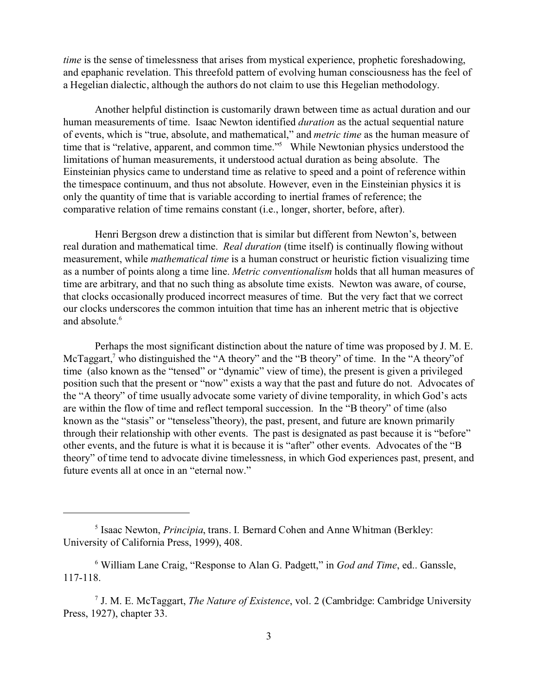*time* is the sense of timelessness that arises from mystical experience, prophetic foreshadowing, and epaphanic revelation. This threefold pattern of evolving human consciousness has the feel of a Hegelian dialectic, although the authors do not claim to use this Hegelian methodology.

Another helpful distinction is customarily drawn between time as actual duration and our human measurements of time. Isaac Newton identified *duration* as the actual sequential nature of events, which is "true, absolute, and mathematical," and *metric time* as the human measure of time that is "relative, apparent, and common time."<sup>5</sup> While Newtonian physics understood the limitations of human measurements, it understood actual duration as being absolute. The Einsteinian physics came to understand time as relative to speed and a point of reference within the timespace continuum, and thus not absolute. However, even in the Einsteinian physics it is only the quantity of time that is variable according to inertial frames of reference; the comparative relation of time remains constant (i.e., longer, shorter, before, after).

Henri Bergson drew a distinction that is similar but different from Newton's, between real duration and mathematical time. *Real duration* (time itself) is continually flowing without measurement, while *mathematical time* is a human construct or heuristic fiction visualizing time as a number of points along a time line. *Metric conventionalism* holds that all human measures of time are arbitrary, and that no such thing as absolute time exists. Newton was aware, of course, that clocks occasionally produced incorrect measures of time. But the very fact that we correct our clocks underscores the common intuition that time has an inherent metric that is objective and absolute.<sup>6</sup>

Perhaps the most significant distinction about the nature of time was proposed by J. M. E. McTaggart,<sup>7</sup> who distinguished the "A theory" and the "B theory" of time. In the "A theory" of time (also known as the "tensed" or "dynamic" view of time), the present is given a privileged position such that the present or "now" exists a way that the past and future do not. Advocates of the "A theory" of time usually advocate some variety of divine temporality, in which God's acts are within the flow of time and reflect temporal succession. In the "B theory" of time (also known as the "stasis" or "tenseless"theory), the past, present, and future are known primarily through their relationship with other events. The past is designated as past because it is "before" other events, and the future is what it is because it is "after" other events. Advocates of the "B theory" of time tend to advocate divine timelessness, in which God experiences past, present, and future events all at once in an "eternal now."

<sup>5</sup> Isaac Newton, *Principia*, trans. I. Bernard Cohen and Anne Whitman (Berkley: University of California Press, 1999), 408.

<sup>6</sup> William Lane Craig, "Response to Alan G. Padgett," in *God and Time*, ed.. Ganssle, 117-118.

<sup>7</sup> J. M. E. McTaggart, *The Nature of Existence*, vol. 2 (Cambridge: Cambridge University Press, 1927), chapter 33.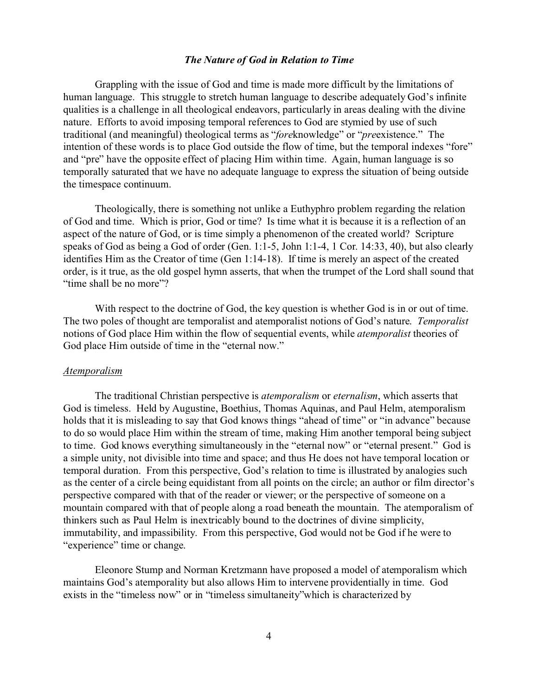# *The Nature of God in Relation to Time*

Grappling with the issue of God and time is made more difficult by the limitations of human language. This struggle to stretch human language to describe adequately God's infinite qualities is a challenge in all theological endeavors, particularly in areas dealing with the divine nature. Efforts to avoid imposing temporal references to God are stymied by use of such traditional (and meaningful) theological terms as "*fore*knowledge" or "*pre*existence." The intention of these words is to place God outside the flow of time, but the temporal indexes "fore" and "pre" have the opposite effect of placing Him within time. Again, human language is so temporally saturated that we have no adequate language to express the situation of being outside the timespace continuum.

Theologically, there is something not unlike a Euthyphro problem regarding the relation of God and time. Which is prior, God or time? Is time what it is because it is a reflection of an aspect of the nature of God, or is time simply a phenomenon of the created world? Scripture speaks of God as being a God of order (Gen. 1:1-5, John 1:1-4, 1 Cor. 14:33, 40), but also clearly identifies Him as the Creator of time (Gen 1:14-18). If time is merely an aspect of the created order, is it true, as the old gospel hymn asserts, that when the trumpet of the Lord shall sound that "time shall be no more"?

 With respect to the doctrine of God, the key question is whether God is in or out of time. The two poles of thought are temporalist and atemporalist notions of God's nature. *Temporalist* notions of God place Him within the flow of sequential events, while *atemporalist* theories of God place Him outside of time in the "eternal now."

#### *Atemporalism*

The traditional Christian perspective is *atemporalism* or *eternalism*, which asserts that God is timeless. Held by Augustine, Boethius, Thomas Aquinas, and Paul Helm, atemporalism holds that it is misleading to say that God knows things "ahead of time" or "in advance" because to do so would place Him within the stream of time, making Him another temporal being subject to time. God knows everything simultaneously in the "eternal now" or "eternal present." God is a simple unity, not divisible into time and space; and thus He does not have temporal location or temporal duration. From this perspective, God's relation to time is illustrated by analogies such as the center of a circle being equidistant from all points on the circle; an author or film director's perspective compared with that of the reader or viewer; or the perspective of someone on a mountain compared with that of people along a road beneath the mountain. The atemporalism of thinkers such as Paul Helm is inextricably bound to the doctrines of divine simplicity, immutability, and impassibility. From this perspective, God would not be God if he were to "experience" time or change.

Eleonore Stump and Norman Kretzmann have proposed a model of atemporalism which maintains God's atemporality but also allows Him to intervene providentially in time. God exists in the "timeless now" or in "timeless simultaneity"which is characterized by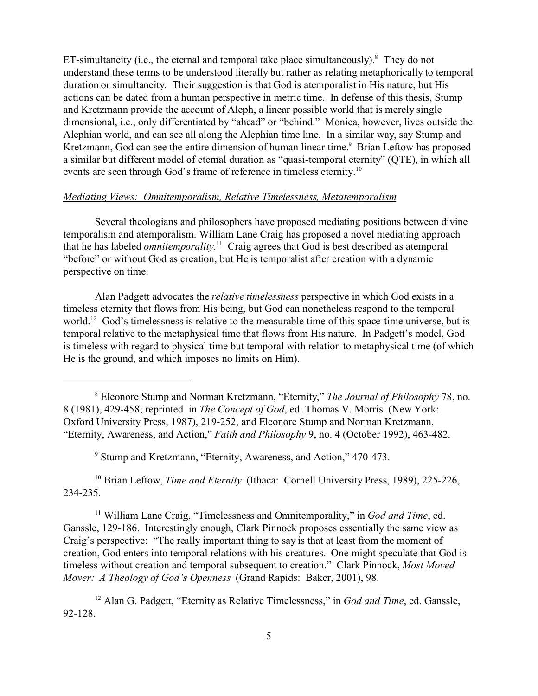ET-simultaneity (i.e., the eternal and temporal take place simultaneously). $8$  They do not understand these terms to be understood literally but rather as relating metaphorically to temporal duration or simultaneity. Their suggestion is that God is atemporalist in His nature, but His actions can be dated from a human perspective in metric time. In defense of this thesis, Stump and Kretzmann provide the account of Aleph, a linear possible world that is merely single dimensional, i.e., only differentiated by "ahead" or "behind." Monica, however, lives outside the Alephian world, and can see all along the Alephian time line. In a similar way, say Stump and Kretzmann, God can see the entire dimension of human linear time.<sup>9</sup> Brian Leftow has proposed a similar but different model of eternal duration as "quasi-temporal eternity" (QTE), in which all events are seen through God's frame of reference in timeless eternity.<sup>10</sup>

### *Mediating Views: Omnitemporalism, Relative Timelessness, Metatemporalism*

Several theologians and philosophers have proposed mediating positions between divine temporalism and atemporalism. William Lane Craig has proposed a novel mediating approach that he has labeled *omnitemporality*. <sup>11</sup> Craig agrees that God is best described as atemporal "before" or without God as creation, but He is temporalist after creation with a dynamic perspective on time.

Alan Padgett advocates the *relative timelessness* perspective in which God exists in a timeless eternity that flows from His being, but God can nonetheless respond to the temporal world.<sup>12</sup> God's timelessness is relative to the measurable time of this space-time universe, but is temporal relative to the metaphysical time that flows from His nature. In Padgett's model, God is timeless with regard to physical time but temporal with relation to metaphysical time (of which He is the ground, and which imposes no limits on Him).

9 Stump and Kretzmann, "Eternity, Awareness, and Action," 470-473.

<sup>10</sup> Brian Leftow, *Time and Eternity* (Ithaca: Cornell University Press, 1989), 225-226, 234-235.

<sup>11</sup> William Lane Craig, "Timelessness and Omnitemporality," in *God and Time*, ed. Ganssle, 129-186. Interestingly enough, Clark Pinnock proposes essentially the same view as Craig's perspective: "The really important thing to say is that at least from the moment of creation, God enters into temporal relations with his creatures. One might speculate that God is timeless without creation and temporal subsequent to creation." Clark Pinnock, *Most Moved Mover: A Theology of God's Openness* (Grand Rapids: Baker, 2001), 98.

<sup>12</sup> Alan G. Padgett, "Eternity as Relative Timelessness," in *God and Time*, ed. Ganssle, 92-128.

<sup>8</sup> Eleonore Stump and Norman Kretzmann, "Eternity," *The Journal of Philosophy* 78, no. 8 (1981), 429-458; reprinted in *The Concept of God*, ed. Thomas V. Morris (New York: Oxford University Press, 1987), 219-252, and Eleonore Stump and Norman Kretzmann, "Eternity, Awareness, and Action," *Faith and Philosophy* 9, no. 4 (October 1992), 463-482.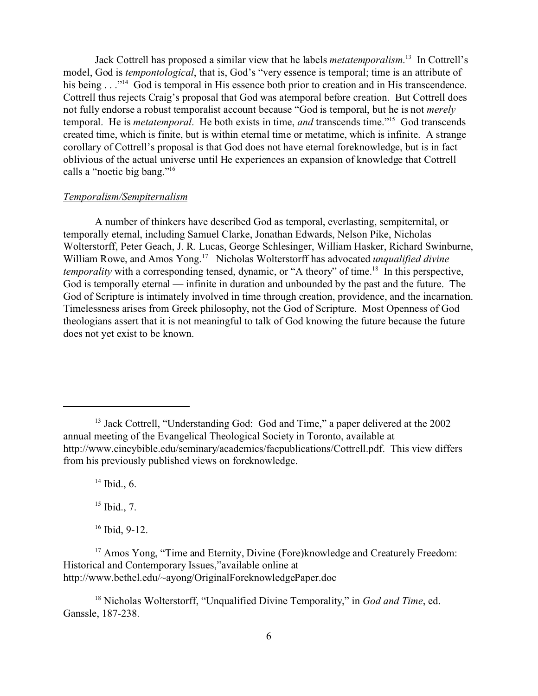Jack Cottrell has proposed a similar view that he labels *metatemporalism*. <sup>13</sup> In Cottrell's model, God is *tempontological*, that is, God's "very essence is temporal; time is an attribute of his being . . ."<sup>14</sup> God is temporal in His essence both prior to creation and in His transcendence. Cottrell thus rejects Craig's proposal that God was atemporal before creation. But Cottrell does not fully endorse a robust temporalist account because "God is temporal, but he is not *merely* temporal. He is *metatemporal*. He both exists in time, *and* transcends time."<sup>15</sup> God transcends created time, which is finite, but is within eternal time or metatime, which is infinite. A strange corollary of Cottrell's proposal is that God does not have eternal foreknowledge, but is in fact oblivious of the actual universe until He experiences an expansion of knowledge that Cottrell calls a "noetic big bang."<sup>16</sup>

### *Temporalism/Sempiternalism*

A number of thinkers have described God as temporal, everlasting, sempiternital, or temporally eternal, including Samuel Clarke, Jonathan Edwards, Nelson Pike, Nicholas Wolterstorff, Peter Geach, J. R. Lucas, George Schlesinger, William Hasker, Richard Swinburne, William Rowe, and Amos Yong.<sup>17</sup> Nicholas Wolterstorff has advocated *unqualified divine temporality* with a corresponding tensed, dynamic, or "A theory" of time.<sup>18</sup> In this perspective, God is temporally eternal — infinite in duration and unbounded by the past and the future. The God of Scripture is intimately involved in time through creation, providence, and the incarnation. Timelessness arises from Greek philosophy, not the God of Scripture. Most Openness of God theologians assert that it is not meaningful to talk of God knowing the future because the future does not yet exist to be known.

 $14$  Ibid., 6.

 $15$  Ibid., 7.

 $16$  Ibid, 9-12.

<sup>&</sup>lt;sup>13</sup> Jack Cottrell, "Understanding God: God and Time," a paper delivered at the 2002 annual meeting of the Evangelical Theological Society in Toronto, available at http://www.cincybible.edu/seminary/academics/facpublications/Cottrell.pdf. This view differs from his previously published views on foreknowledge.

<sup>&</sup>lt;sup>17</sup> Amos Yong, "Time and Eternity, Divine (Fore)knowledge and Creaturely Freedom: Historical and Contemporary Issues,"available online at http://www.bethel.edu/~ayong/OriginalForeknowledgePaper.doc

<sup>18</sup> Nicholas Wolterstorff, "Unqualified Divine Temporality," in *God and Time*, ed. Ganssle, 187-238.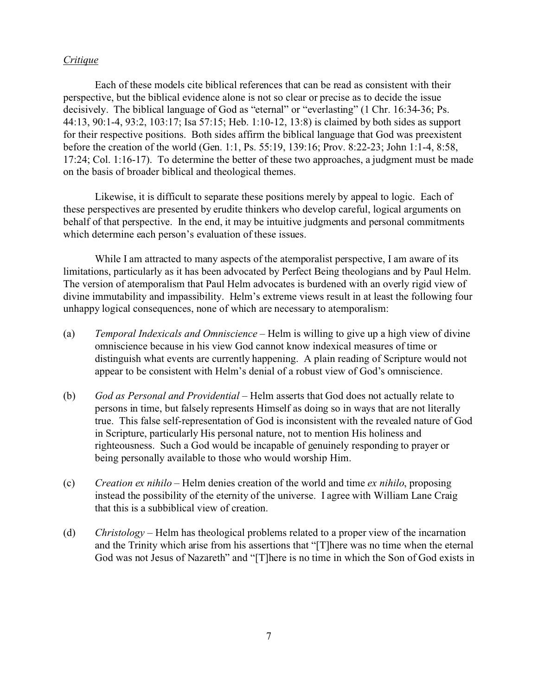# *Critique*

Each of these models cite biblical references that can be read as consistent with their perspective, but the biblical evidence alone is not so clear or precise as to decide the issue decisively. The biblical language of God as "eternal" or "everlasting" (1 Chr. 16:34-36; Ps. 44:13, 90:1-4, 93:2, 103:17; Isa 57:15; Heb. 1:10-12, 13:8) is claimed by both sides as support for their respective positions. Both sides affirm the biblical language that God was preexistent before the creation of the world (Gen. 1:1, Ps. 55:19, 139:16; Prov. 8:22-23; John 1:1-4, 8:58, 17:24; Col. 1:16-17). To determine the better of these two approaches, a judgment must be made on the basis of broader biblical and theological themes.

Likewise, it is difficult to separate these positions merely by appeal to logic. Each of these perspectives are presented by erudite thinkers who develop careful, logical arguments on behalf of that perspective. In the end, it may be intuitive judgments and personal commitments which determine each person's evaluation of these issues.

While I am attracted to many aspects of the atemporalist perspective, I am aware of its limitations, particularly as it has been advocated by Perfect Being theologians and by Paul Helm. The version of atemporalism that Paul Helm advocates is burdened with an overly rigid view of divine immutability and impassibility. Helm's extreme views result in at least the following four unhappy logical consequences, none of which are necessary to atemporalism:

- (a) *Temporal Indexicals and Omniscience* Helm is willing to give up a high view of divine omniscience because in his view God cannot know indexical measures of time or distinguish what events are currently happening. A plain reading of Scripture would not appear to be consistent with Helm's denial of a robust view of God's omniscience.
- (b) *God as Personal and Providential* Helm asserts that God does not actually relate to persons in time, but falsely represents Himself as doing so in ways that are not literally true. This false self-representation of God is inconsistent with the revealed nature of God in Scripture, particularly His personal nature, not to mention His holiness and righteousness. Such a God would be incapable of genuinely responding to prayer or being personally available to those who would worship Him.
- (c) *Creation ex nihilo* Helm denies creation of the world and time *ex nihilo*, proposing instead the possibility of the eternity of the universe. I agree with William Lane Craig that this is a subbiblical view of creation.
- (d) *Christology* Helm has theological problems related to a proper view of the incarnation and the Trinity which arise from his assertions that "[T]here was no time when the eternal God was not Jesus of Nazareth" and "[T]here is no time in which the Son of God exists in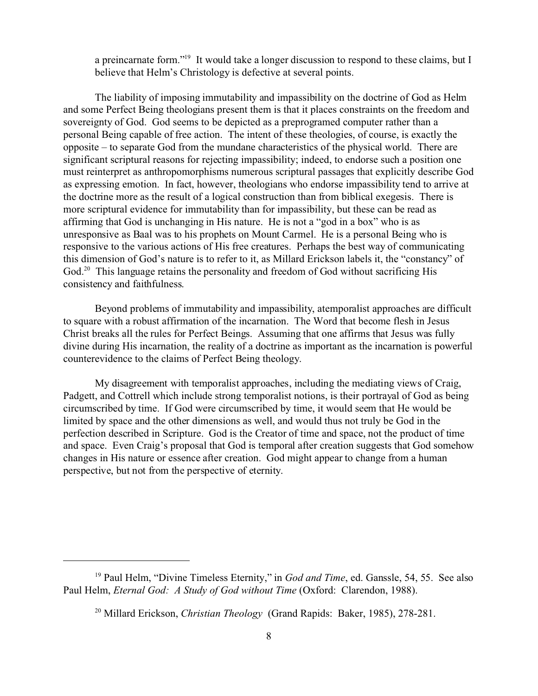a preincarnate form."<sup>19</sup> It would take a longer discussion to respond to these claims, but I believe that Helm's Christology is defective at several points.

The liability of imposing immutability and impassibility on the doctrine of God as Helm and some Perfect Being theologians present them is that it places constraints on the freedom and sovereignty of God. God seems to be depicted as a preprogramed computer rather than a personal Being capable of free action. The intent of these theologies, of course, is exactly the opposite – to separate God from the mundane characteristics of the physical world. There are significant scriptural reasons for rejecting impassibility; indeed, to endorse such a position one must reinterpret as anthropomorphisms numerous scriptural passages that explicitly describe God as expressing emotion. In fact, however, theologians who endorse impassibility tend to arrive at the doctrine more as the result of a logical construction than from biblical exegesis. There is more scriptural evidence for immutability than for impassibility, but these can be read as affirming that God is unchanging in His nature. He is not a "god in a box" who is as unresponsive as Baal was to his prophets on Mount Carmel. He is a personal Being who is responsive to the various actions of His free creatures. Perhaps the best way of communicating this dimension of God's nature is to refer to it, as Millard Erickson labels it, the "constancy" of God.<sup>20</sup> This language retains the personality and freedom of God without sacrificing His consistency and faithfulness.

Beyond problems of immutability and impassibility, atemporalist approaches are difficult to square with a robust affirmation of the incarnation. The Word that become flesh in Jesus Christ breaks all the rules for Perfect Beings. Assuming that one affirms that Jesus was fully divine during His incarnation, the reality of a doctrine as important as the incarnation is powerful counterevidence to the claims of Perfect Being theology.

My disagreement with temporalist approaches, including the mediating views of Craig, Padgett, and Cottrell which include strong temporalist notions, is their portrayal of God as being circumscribed by time. If God were circumscribed by time, it would seem that He would be limited by space and the other dimensions as well, and would thus not truly be God in the perfection described in Scripture. God is the Creator of time and space, not the product of time and space. Even Craig's proposal that God is temporal after creation suggests that God somehow changes in His nature or essence after creation. God might appear to change from a human perspective, but not from the perspective of eternity.

<sup>19</sup> Paul Helm, "Divine Timeless Eternity," in *God and Time*, ed. Ganssle, 54, 55. See also Paul Helm, *Eternal God: A Study of God without Time* (Oxford: Clarendon, 1988).

<sup>20</sup> Millard Erickson, *Christian Theology* (Grand Rapids: Baker, 1985), 278-281.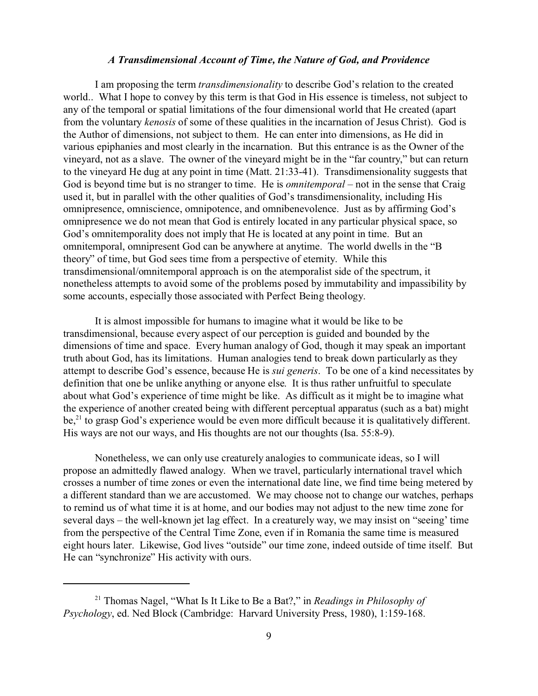# *A Transdimensional Account of Time, the Nature of God, and Providence*

I am proposing the term *transdimensionality* to describe God's relation to the created world.. What I hope to convey by this term is that God in His essence is timeless, not subject to any of the temporal or spatial limitations of the four dimensional world that He created (apart from the voluntary *kenosis* of some of these qualities in the incarnation of Jesus Christ). God is the Author of dimensions, not subject to them. He can enter into dimensions, as He did in various epiphanies and most clearly in the incarnation. But this entrance is as the Owner of the vineyard, not as a slave. The owner of the vineyard might be in the "far country," but can return to the vineyard He dug at any point in time (Matt. 21:33-41). Transdimensionality suggests that God is beyond time but is no stranger to time. He is *omnitemporal* – not in the sense that Craig used it, but in parallel with the other qualities of God's transdimensionality, including His omnipresence, omniscience, omnipotence, and omnibenevolence. Just as by affirming God's omnipresence we do not mean that God is entirely located in any particular physical space, so God's omnitemporality does not imply that He is located at any point in time. But an omnitemporal, omnipresent God can be anywhere at anytime. The world dwells in the "B theory" of time, but God sees time from a perspective of eternity. While this transdimensional/omnitemporal approach is on the atemporalist side of the spectrum, it nonetheless attempts to avoid some of the problems posed by immutability and impassibility by some accounts, especially those associated with Perfect Being theology.

It is almost impossible for humans to imagine what it would be like to be transdimensional, because every aspect of our perception is guided and bounded by the dimensions of time and space. Every human analogy of God, though it may speak an important truth about God, has its limitations. Human analogies tend to break down particularly as they attempt to describe God's essence, because He is *sui generis*. To be one of a kind necessitates by definition that one be unlike anything or anyone else. It is thus rather unfruitful to speculate about what God's experience of time might be like. As difficult as it might be to imagine what the experience of another created being with different perceptual apparatus (such as a bat) might be,<sup>21</sup> to grasp God's experience would be even more difficult because it is qualitatively different. His ways are not our ways, and His thoughts are not our thoughts (Isa. 55:8-9).

Nonetheless, we can only use creaturely analogies to communicate ideas, so I will propose an admittedly flawed analogy. When we travel, particularly international travel which crosses a number of time zones or even the international date line, we find time being metered by a different standard than we are accustomed. We may choose not to change our watches, perhaps to remind us of what time it is at home, and our bodies may not adjust to the new time zone for several days – the well-known jet lag effect. In a creaturely way, we may insist on "seeing' time from the perspective of the Central Time Zone, even if in Romania the same time is measured eight hours later. Likewise, God lives "outside" our time zone, indeed outside of time itself. But He can "synchronize" His activity with ours.

<sup>21</sup> Thomas Nagel, "What Is It Like to Be a Bat?," in *Readings in Philosophy of Psychology*, ed. Ned Block (Cambridge: Harvard University Press, 1980), 1:159-168.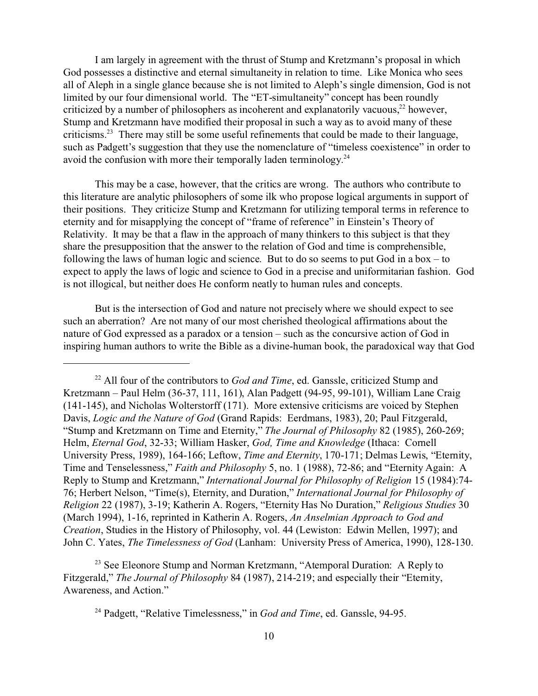I am largely in agreement with the thrust of Stump and Kretzmann's proposal in which God possesses a distinctive and eternal simultaneity in relation to time. Like Monica who sees all of Aleph in a single glance because she is not limited to Aleph's single dimension, God is not limited by our four dimensional world. The "ET-simultaneity" concept has been roundly criticized by a number of philosophers as incoherent and explanatorily vacuous, $^{22}$  however, Stump and Kretzmann have modified their proposal in such a way as to avoid many of these criticisms.<sup>23</sup> There may still be some useful refinements that could be made to their language, such as Padgett's suggestion that they use the nomenclature of "timeless coexistence" in order to avoid the confusion with more their temporally laden terminology.<sup>24</sup>

This may be a case, however, that the critics are wrong. The authors who contribute to this literature are analytic philosophers of some ilk who propose logical arguments in support of their positions. They criticize Stump and Kretzmann for utilizing temporal terms in reference to eternity and for misapplying the concept of "frame of reference" in Einstein's Theory of Relativity. It may be that a flaw in the approach of many thinkers to this subject is that they share the presupposition that the answer to the relation of God and time is comprehensible, following the laws of human logic and science. But to do so seems to put God in a box – to expect to apply the laws of logic and science to God in a precise and uniformitarian fashion. God is not illogical, but neither does He conform neatly to human rules and concepts.

But is the intersection of God and nature not precisely where we should expect to see such an aberration? Are not many of our most cherished theological affirmations about the nature of God expressed as a paradox or a tension – such as the concursive action of God in inspiring human authors to write the Bible as a divine-human book, the paradoxical way that God

<sup>23</sup> See Eleonore Stump and Norman Kretzmann, "Atemporal Duration: A Reply to Fitzgerald," *The Journal of Philosophy* 84 (1987), 214-219; and especially their "Eternity, Awareness, and Action."

<sup>22</sup> All four of the contributors to *God and Time*, ed. Ganssle, criticized Stump and Kretzmann – Paul Helm (36-37, 111, 161), Alan Padgett (94-95, 99-101), William Lane Craig (141-145), and Nicholas Wolterstorff (171). More extensive criticisms are voiced by Stephen Davis, *Logic and the Nature of God* (Grand Rapids: Eerdmans, 1983), 20; Paul Fitzgerald, "Stump and Kretzmann on Time and Eternity," *The Journal of Philosophy* 82 (1985), 260-269; Helm, *Eternal God*, 32-33; William Hasker, *God, Time and Knowledge* (Ithaca: Cornell University Press, 1989), 164-166; Leftow, *Time and Eternity*, 170-171; Delmas Lewis, "Eternity, Time and Tenselessness," *Faith and Philosophy* 5, no. 1 (1988), 72-86; and "Eternity Again: A Reply to Stump and Kretzmann," *International Journal for Philosophy of Religion* 15 (1984):74- 76; Herbert Nelson, "Time(s), Eternity, and Duration," *International Journal for Philosophy of Religion* 22 (1987), 3-19; Katherin A. Rogers, "Eternity Has No Duration," *Religious Studies* 30 (March 1994), 1-16, reprinted in Katherin A. Rogers, *An Anselmian Approach to God and Creation*, Studies in the History of Philosophy, vol. 44 (Lewiston: Edwin Mellen, 1997); and John C. Yates, *The Timelessness of God* (Lanham: University Press of America, 1990), 128-130.

<sup>24</sup> Padgett, "Relative Timelessness," in *God and Time*, ed. Ganssle, 94-95.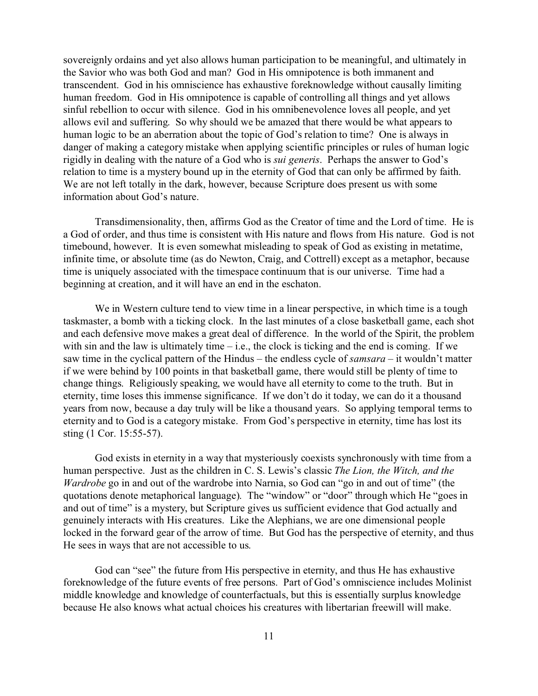sovereignly ordains and yet also allows human participation to be meaningful, and ultimately in the Savior who was both God and man? God in His omnipotence is both immanent and transcendent. God in his omniscience has exhaustive foreknowledge without causally limiting human freedom. God in His omnipotence is capable of controlling all things and yet allows sinful rebellion to occur with silence. God in his omnibenevolence loves all people, and yet allows evil and suffering. So why should we be amazed that there would be what appears to human logic to be an aberration about the topic of God's relation to time? One is always in danger of making a category mistake when applying scientific principles or rules of human logic rigidly in dealing with the nature of a God who is *sui generis*. Perhaps the answer to God's relation to time is a mystery bound up in the eternity of God that can only be affirmed by faith. We are not left totally in the dark, however, because Scripture does present us with some information about God's nature.

Transdimensionality, then, affirms God as the Creator of time and the Lord of time. He is a God of order, and thus time is consistent with His nature and flows from His nature. God is not timebound, however. It is even somewhat misleading to speak of God as existing in metatime, infinite time, or absolute time (as do Newton, Craig, and Cottrell) except as a metaphor, because time is uniquely associated with the timespace continuum that is our universe. Time had a beginning at creation, and it will have an end in the eschaton.

We in Western culture tend to view time in a linear perspective, in which time is a tough taskmaster, a bomb with a ticking clock. In the last minutes of a close basketball game, each shot and each defensive move makes a great deal of difference. In the world of the Spirit, the problem with sin and the law is ultimately time – i.e., the clock is ticking and the end is coming. If we saw time in the cyclical pattern of the Hindus – the endless cycle of *samsara* – it wouldn't matter if we were behind by 100 points in that basketball game, there would still be plenty of time to change things. Religiously speaking, we would have all eternity to come to the truth. But in eternity, time loses this immense significance. If we don't do it today, we can do it a thousand years from now, because a day truly will be like a thousand years. So applying temporal terms to eternity and to God is a category mistake. From God's perspective in eternity, time has lost its sting (1 Cor. 15:55-57).

God exists in eternity in a way that mysteriously coexists synchronously with time from a human perspective. Just as the children in C. S. Lewis's classic *The Lion, the Witch, and the Wardrobe* go in and out of the wardrobe into Narnia, so God can "go in and out of time" (the quotations denote metaphorical language). The "window" or "door" through which He "goes in and out of time" is a mystery, but Scripture gives us sufficient evidence that God actually and genuinely interacts with His creatures. Like the Alephians, we are one dimensional people locked in the forward gear of the arrow of time. But God has the perspective of eternity, and thus He sees in ways that are not accessible to us.

God can "see" the future from His perspective in eternity, and thus He has exhaustive foreknowledge of the future events of free persons. Part of God's omniscience includes Molinist middle knowledge and knowledge of counterfactuals, but this is essentially surplus knowledge because He also knows what actual choices his creatures with libertarian freewill will make.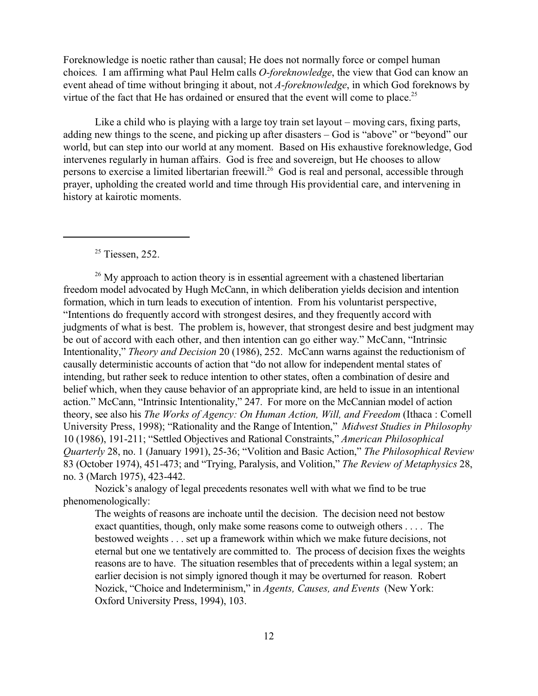Foreknowledge is noetic rather than causal; He does not normally force or compel human choices. I am affirming what Paul Helm calls *O-foreknowledge*, the view that God can know an event ahead of time without bringing it about, not *A-foreknowledge*, in which God foreknows by virtue of the fact that He has ordained or ensured that the event will come to place.<sup>25</sup>

Like a child who is playing with a large toy train set layout – moving cars, fixing parts, adding new things to the scene, and picking up after disasters – God is "above" or "beyond" our world, but can step into our world at any moment. Based on His exhaustive foreknowledge, God intervenes regularly in human affairs. God is free and sovereign, but He chooses to allow persons to exercise a limited libertarian freewill.<sup>26</sup> God is real and personal, accessible through prayer, upholding the created world and time through His providential care, and intervening in history at kairotic moments.

 $25$  Tiessen, 252.

 $26$  My approach to action theory is in essential agreement with a chastened libertarian freedom model advocated by Hugh McCann, in which deliberation yields decision and intention formation, which in turn leads to execution of intention. From his voluntarist perspective, "Intentions do frequently accord with strongest desires, and they frequently accord with judgments of what is best. The problem is, however, that strongest desire and best judgment may be out of accord with each other, and then intention can go either way." McCann, "Intrinsic Intentionality," *Theory and Decision* 20 (1986), 252. McCann warns against the reductionism of causally deterministic accounts of action that "do not allow for independent mental states of intending, but rather seek to reduce intention to other states, often a combination of desire and belief which, when they cause behavior of an appropriate kind, are held to issue in an intentional action." McCann, "Intrinsic Intentionality," 247. For more on the McCannian model of action theory, see also his *The Works of Agency: On Human Action, Will, and Freedom* (Ithaca : Cornell University Press, 1998); "Rationality and the Range of Intention," *Midwest Studies in Philosophy* 10 (1986), 191-211; "Settled Objectives and Rational Constraints," *American Philosophical Quarterly* 28, no. 1 (January 1991), 25-36; "Volition and Basic Action," *The Philosophical Review* 83 (October 1974), 451-473; and "Trying, Paralysis, and Volition," *The Review of Metaphysics* 28, no. 3 (March 1975), 423-442.

Nozick's analogy of legal precedents resonates well with what we find to be true phenomenologically:

The weights of reasons are inchoate until the decision. The decision need not bestow exact quantities, though, only make some reasons come to outweigh others . . . . The bestowed weights . . . set up a framework within which we make future decisions, not eternal but one we tentatively are committed to. The process of decision fixes the weights reasons are to have. The situation resembles that of precedents within a legal system; an earlier decision is not simply ignored though it may be overturned for reason. Robert Nozick, "Choice and Indeterminism," in *Agents, Causes, and Events* (New York: Oxford University Press, 1994), 103.